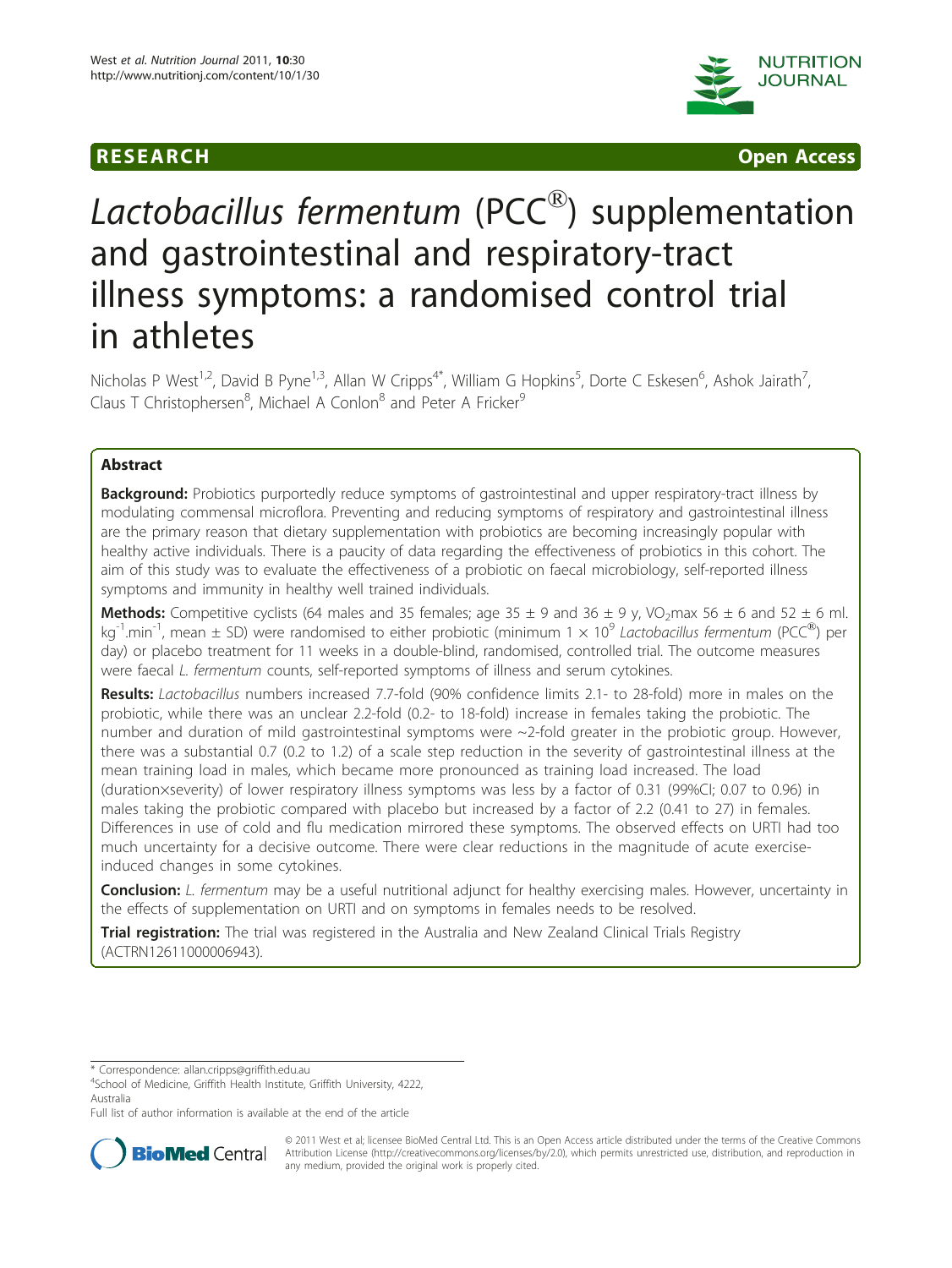

**RESEARCH CONSTRUCTED ACCESS** 

# Lactobacillus fermentum ( $PCC^{\mathcal{B}}$ ) supplementation and gastrointestinal and respiratory-tract illness symptoms: a randomised control trial in athletes

Nicholas P West<sup>1,2</sup>, David B Pyne<sup>1,3</sup>, Allan W Cripps<sup>4\*</sup>, William G Hopkins<sup>5</sup>, Dorte C Eskesen<sup>6</sup>, Ashok Jairath<sup>7</sup> , Claus T Christophersen<sup>8</sup>, Michael A Conlon<sup>8</sup> and Peter A Fricker<sup>9</sup>

# Abstract

**Background:** Probiotics purportedly reduce symptoms of gastrointestinal and upper respiratory-tract illness by modulating commensal microflora. Preventing and reducing symptoms of respiratory and gastrointestinal illness are the primary reason that dietary supplementation with probiotics are becoming increasingly popular with healthy active individuals. There is a paucity of data regarding the effectiveness of probiotics in this cohort. The aim of this study was to evaluate the effectiveness of a probiotic on faecal microbiology, self-reported illness symptoms and immunity in healthy well trained individuals.

Methods: Competitive cyclists (64 males and 35 females; age 35  $\pm$  9 and 36  $\pm$  9 y, VO<sub>2</sub>max 56  $\pm$  6 and 52  $\pm$  6 ml. kg<sup>-1</sup>.min<sup>-1</sup>, mean  $\pm$  SD) were randomised to either probiotic (minimum 1  $\times$  10<sup>9</sup> Lactobacillus fermentum (PCC<sup>®</sup>) per day) or placebo treatment for 11 weeks in a double-blind, randomised, controlled trial. The outcome measures were faecal L. fermentum counts, self-reported symptoms of illness and serum cytokines.

Results: Lactobacillus numbers increased 7.7-fold (90% confidence limits 2.1- to 28-fold) more in males on the probiotic, while there was an unclear 2.2-fold (0.2- to 18-fold) increase in females taking the probiotic. The number and duration of mild gastrointestinal symptoms were ~2-fold greater in the probiotic group. However, there was a substantial 0.7 (0.2 to 1.2) of a scale step reduction in the severity of gastrointestinal illness at the mean training load in males, which became more pronounced as training load increased. The load (duration×severity) of lower respiratory illness symptoms was less by a factor of 0.31 (99%CI; 0.07 to 0.96) in males taking the probiotic compared with placebo but increased by a factor of 2.2 (0.41 to 27) in females. Differences in use of cold and flu medication mirrored these symptoms. The observed effects on URTI had too much uncertainty for a decisive outcome. There were clear reductions in the magnitude of acute exerciseinduced changes in some cytokines.

Conclusion: L. fermentum may be a useful nutritional adjunct for healthy exercising males. However, uncertainty in the effects of supplementation on URTI and on symptoms in females needs to be resolved.

Trial registration: The trial was registered in the Australia and New Zealand Clinical Trials Registry ([ACTRN12611000006943](http://www.anzctr.org.au/ACTRN12611000006943.aspx)).

\* Correspondence: [allan.cripps@griffith.edu.au](mailto:allan.cripps@griffith.edu.au)

4 School of Medicine, Griffith Health Institute, Griffith University, 4222, Australia

Full list of author information is available at the end of the article



© 2011 West et al; licensee BioMed Central Ltd. This is an Open Access article distributed under the terms of the Creative Commons Attribution License [\(http://creativecommons.org/licenses/by/2.0](http://creativecommons.org/licenses/by/2.0)), which permits unrestricted use, distribution, and reproduction in any medium, provided the original work is properly cited.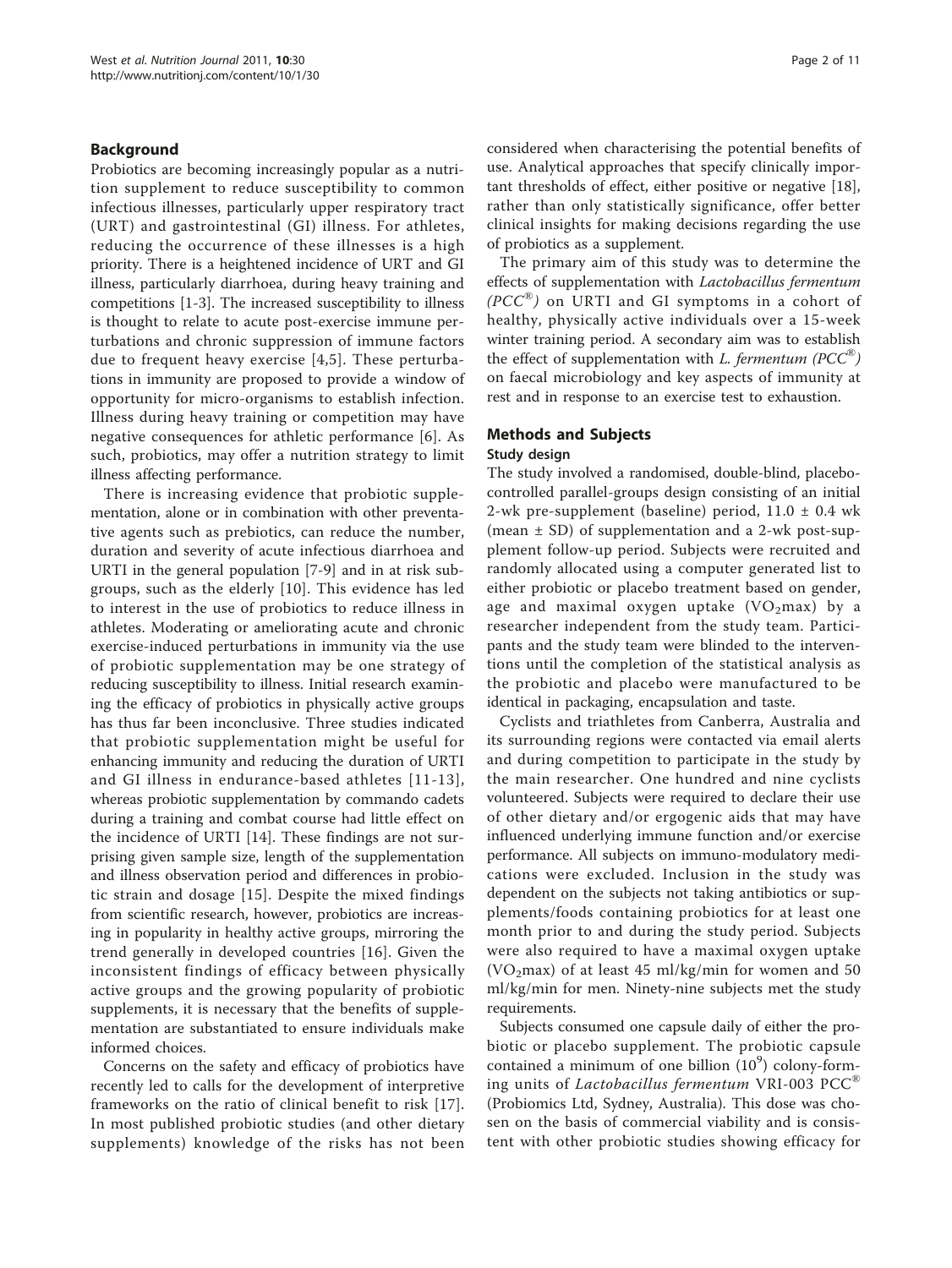# Background

Probiotics are becoming increasingly popular as a nutrition supplement to reduce susceptibility to common infectious illnesses, particularly upper respiratory tract (URT) and gastrointestinal (GI) illness. For athletes, reducing the occurrence of these illnesses is a high priority. There is a heightened incidence of URT and GI illness, particularly diarrhoea, during heavy training and competitions [[1](#page-9-0)[-3](#page-10-0)]. The increased susceptibility to illness is thought to relate to acute post-exercise immune perturbations and chronic suppression of immune factors due to frequent heavy exercise [[4](#page-10-0),[5](#page-10-0)]. These perturbations in immunity are proposed to provide a window of opportunity for micro-organisms to establish infection. Illness during heavy training or competition may have negative consequences for athletic performance [[6\]](#page-10-0). As such, probiotics, may offer a nutrition strategy to limit illness affecting performance.

There is increasing evidence that probiotic supplementation, alone or in combination with other preventative agents such as prebiotics, can reduce the number, duration and severity of acute infectious diarrhoea and URTI in the general population [[7-9](#page-10-0)] and in at risk subgroups, such as the elderly [[10\]](#page-10-0). This evidence has led to interest in the use of probiotics to reduce illness in athletes. Moderating or ameliorating acute and chronic exercise-induced perturbations in immunity via the use of probiotic supplementation may be one strategy of reducing susceptibility to illness. Initial research examining the efficacy of probiotics in physically active groups has thus far been inconclusive. Three studies indicated that probiotic supplementation might be useful for enhancing immunity and reducing the duration of URTI and GI illness in endurance-based athletes [[11](#page-10-0)-[13\]](#page-10-0), whereas probiotic supplementation by commando cadets during a training and combat course had little effect on the incidence of URTI [\[14](#page-10-0)]. These findings are not surprising given sample size, length of the supplementation and illness observation period and differences in probiotic strain and dosage [[15](#page-10-0)]. Despite the mixed findings from scientific research, however, probiotics are increasing in popularity in healthy active groups, mirroring the trend generally in developed countries [\[16\]](#page-10-0). Given the inconsistent findings of efficacy between physically active groups and the growing popularity of probiotic supplements, it is necessary that the benefits of supplementation are substantiated to ensure individuals make informed choices.

Concerns on the safety and efficacy of probiotics have recently led to calls for the development of interpretive frameworks on the ratio of clinical benefit to risk [[17](#page-10-0)]. In most published probiotic studies (and other dietary supplements) knowledge of the risks has not been considered when characterising the potential benefits of use. Analytical approaches that specify clinically important thresholds of effect, either positive or negative [\[18](#page-10-0)], rather than only statistically significance, offer better clinical insights for making decisions regarding the use of probiotics as a supplement.

The primary aim of this study was to determine the effects of supplementation with Lactobacillus fermentum  $(PCC^{\circledast})$  on URTI and GI symptoms in a cohort of healthy, physically active individuals over a 15-week winter training period. A secondary aim was to establish the effect of supplementation with L. fermentum  $(PCC^{\omega})$ on faecal microbiology and key aspects of immunity at rest and in response to an exercise test to exhaustion.

# Methods and Subjects

# Study design

The study involved a randomised, double-blind, placebocontrolled parallel-groups design consisting of an initial 2-wk pre-supplement (baseline) period,  $11.0 \pm 0.4$  wk (mean ± SD) of supplementation and a 2-wk post-supplement follow-up period. Subjects were recruited and randomly allocated using a computer generated list to either probiotic or placebo treatment based on gender, age and maximal oxygen uptake  $(VO<sub>2</sub>max)$  by a researcher independent from the study team. Participants and the study team were blinded to the interventions until the completion of the statistical analysis as the probiotic and placebo were manufactured to be identical in packaging, encapsulation and taste.

Cyclists and triathletes from Canberra, Australia and its surrounding regions were contacted via email alerts and during competition to participate in the study by the main researcher. One hundred and nine cyclists volunteered. Subjects were required to declare their use of other dietary and/or ergogenic aids that may have influenced underlying immune function and/or exercise performance. All subjects on immuno-modulatory medications were excluded. Inclusion in the study was dependent on the subjects not taking antibiotics or supplements/foods containing probiotics for at least one month prior to and during the study period. Subjects were also required to have a maximal oxygen uptake (VO<sub>2</sub>max) of at least 45 ml/kg/min for women and 50 ml/kg/min for men. Ninety-nine subjects met the study requirements.

Subjects consumed one capsule daily of either the probiotic or placebo supplement. The probiotic capsule contained a minimum of one billion  $(10^9)$  colony-forming units of *Lactobacillus fermentum* VRI-003  $PCC^{\omega}$ (Probiomics Ltd, Sydney, Australia). This dose was chosen on the basis of commercial viability and is consistent with other probiotic studies showing efficacy for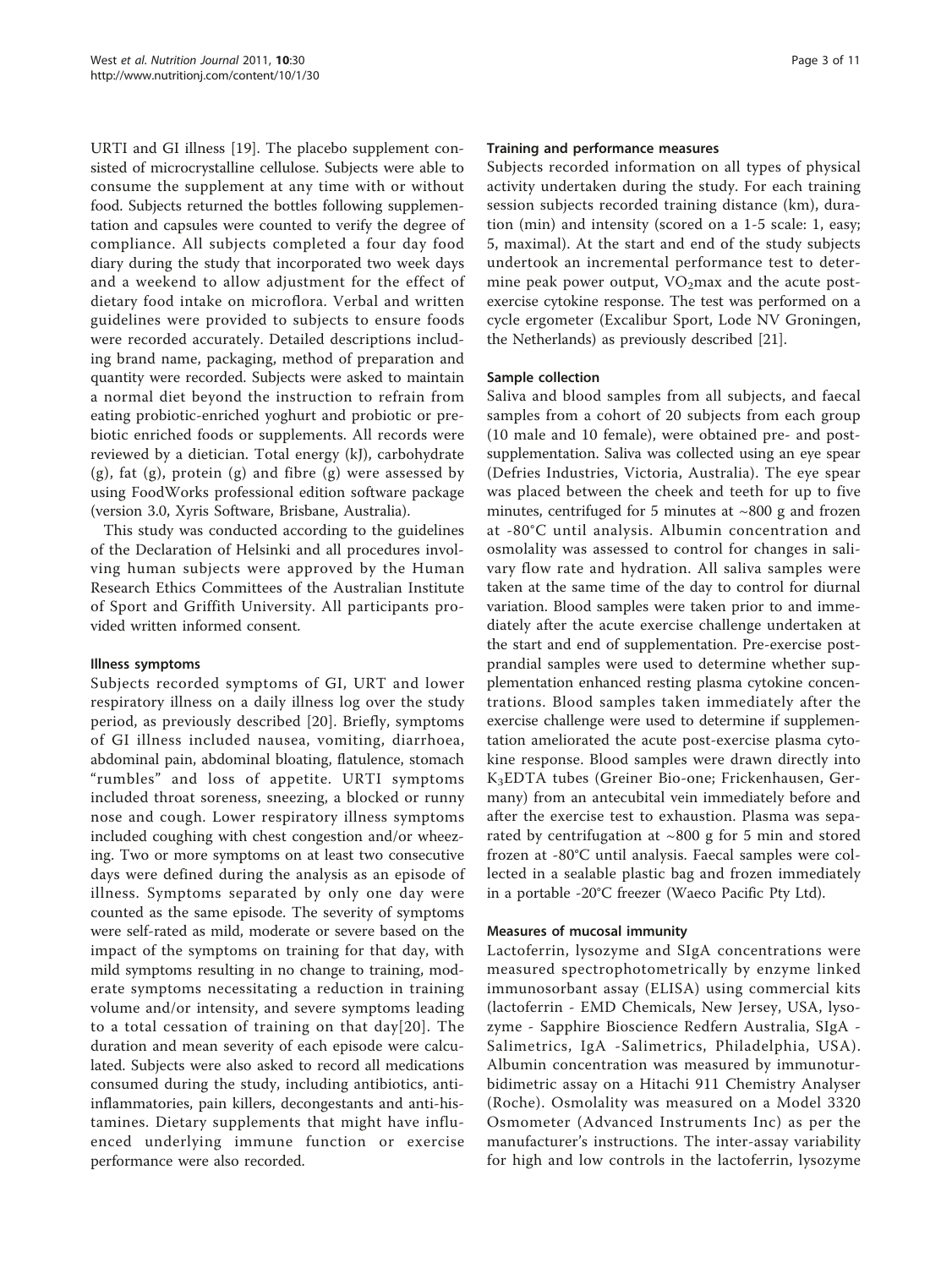URTI and GI illness [\[19](#page-10-0)]. The placebo supplement consisted of microcrystalline cellulose. Subjects were able to consume the supplement at any time with or without food. Subjects returned the bottles following supplementation and capsules were counted to verify the degree of compliance. All subjects completed a four day food diary during the study that incorporated two week days and a weekend to allow adjustment for the effect of dietary food intake on microflora. Verbal and written guidelines were provided to subjects to ensure foods were recorded accurately. Detailed descriptions including brand name, packaging, method of preparation and quantity were recorded. Subjects were asked to maintain a normal diet beyond the instruction to refrain from eating probiotic-enriched yoghurt and probiotic or prebiotic enriched foods or supplements. All records were reviewed by a dietician. Total energy (kJ), carbohydrate (g), fat (g), protein (g) and fibre (g) were assessed by using FoodWorks professional edition software package (version 3.0, Xyris Software, Brisbane, Australia).

This study was conducted according to the guidelines of the Declaration of Helsinki and all procedures involving human subjects were approved by the Human Research Ethics Committees of the Australian Institute of Sport and Griffith University. All participants provided written informed consent.

# Illness symptoms

Subjects recorded symptoms of GI, URT and lower respiratory illness on a daily illness log over the study period, as previously described [\[20](#page-10-0)]. Briefly, symptoms of GI illness included nausea, vomiting, diarrhoea, abdominal pain, abdominal bloating, flatulence, stomach "rumbles" and loss of appetite. URTI symptoms included throat soreness, sneezing, a blocked or runny nose and cough. Lower respiratory illness symptoms included coughing with chest congestion and/or wheezing. Two or more symptoms on at least two consecutive days were defined during the analysis as an episode of illness. Symptoms separated by only one day were counted as the same episode. The severity of symptoms were self-rated as mild, moderate or severe based on the impact of the symptoms on training for that day, with mild symptoms resulting in no change to training, moderate symptoms necessitating a reduction in training volume and/or intensity, and severe symptoms leading to a total cessation of training on that day[[20\]](#page-10-0). The duration and mean severity of each episode were calculated. Subjects were also asked to record all medications consumed during the study, including antibiotics, antiinflammatories, pain killers, decongestants and anti-histamines. Dietary supplements that might have influenced underlying immune function or exercise performance were also recorded.

# Training and performance measures

Subjects recorded information on all types of physical activity undertaken during the study. For each training session subjects recorded training distance (km), duration (min) and intensity (scored on a 1-5 scale: 1, easy; 5, maximal). At the start and end of the study subjects undertook an incremental performance test to determine peak power output,  $VO<sub>2</sub>$ max and the acute postexercise cytokine response. The test was performed on a cycle ergometer (Excalibur Sport, Lode NV Groningen, the Netherlands) as previously described [[21](#page-10-0)].

# Sample collection

Saliva and blood samples from all subjects, and faecal samples from a cohort of 20 subjects from each group (10 male and 10 female), were obtained pre- and postsupplementation. Saliva was collected using an eye spear (Defries Industries, Victoria, Australia). The eye spear was placed between the cheek and teeth for up to five minutes, centrifuged for 5 minutes at  $\sim 800$  g and frozen at -80°C until analysis. Albumin concentration and osmolality was assessed to control for changes in salivary flow rate and hydration. All saliva samples were taken at the same time of the day to control for diurnal variation. Blood samples were taken prior to and immediately after the acute exercise challenge undertaken at the start and end of supplementation. Pre-exercise postprandial samples were used to determine whether supplementation enhanced resting plasma cytokine concentrations. Blood samples taken immediately after the exercise challenge were used to determine if supplementation ameliorated the acute post-exercise plasma cytokine response. Blood samples were drawn directly into K3EDTA tubes (Greiner Bio-one; Frickenhausen, Germany) from an antecubital vein immediately before and after the exercise test to exhaustion. Plasma was separated by centrifugation at  $~800$  g for 5 min and stored frozen at -80°C until analysis. Faecal samples were collected in a sealable plastic bag and frozen immediately in a portable -20°C freezer (Waeco Pacific Pty Ltd).

# Measures of mucosal immunity

Lactoferrin, lysozyme and SIgA concentrations were measured spectrophotometrically by enzyme linked immunosorbant assay (ELISA) using commercial kits (lactoferrin - EMD Chemicals, New Jersey, USA, lysozyme - Sapphire Bioscience Redfern Australia, SIgA - Salimetrics, IgA -Salimetrics, Philadelphia, USA). Albumin concentration was measured by immunoturbidimetric assay on a Hitachi 911 Chemistry Analyser (Roche). Osmolality was measured on a Model 3320 Osmometer (Advanced Instruments Inc) as per the manufacturer's instructions. The inter-assay variability for high and low controls in the lactoferrin, lysozyme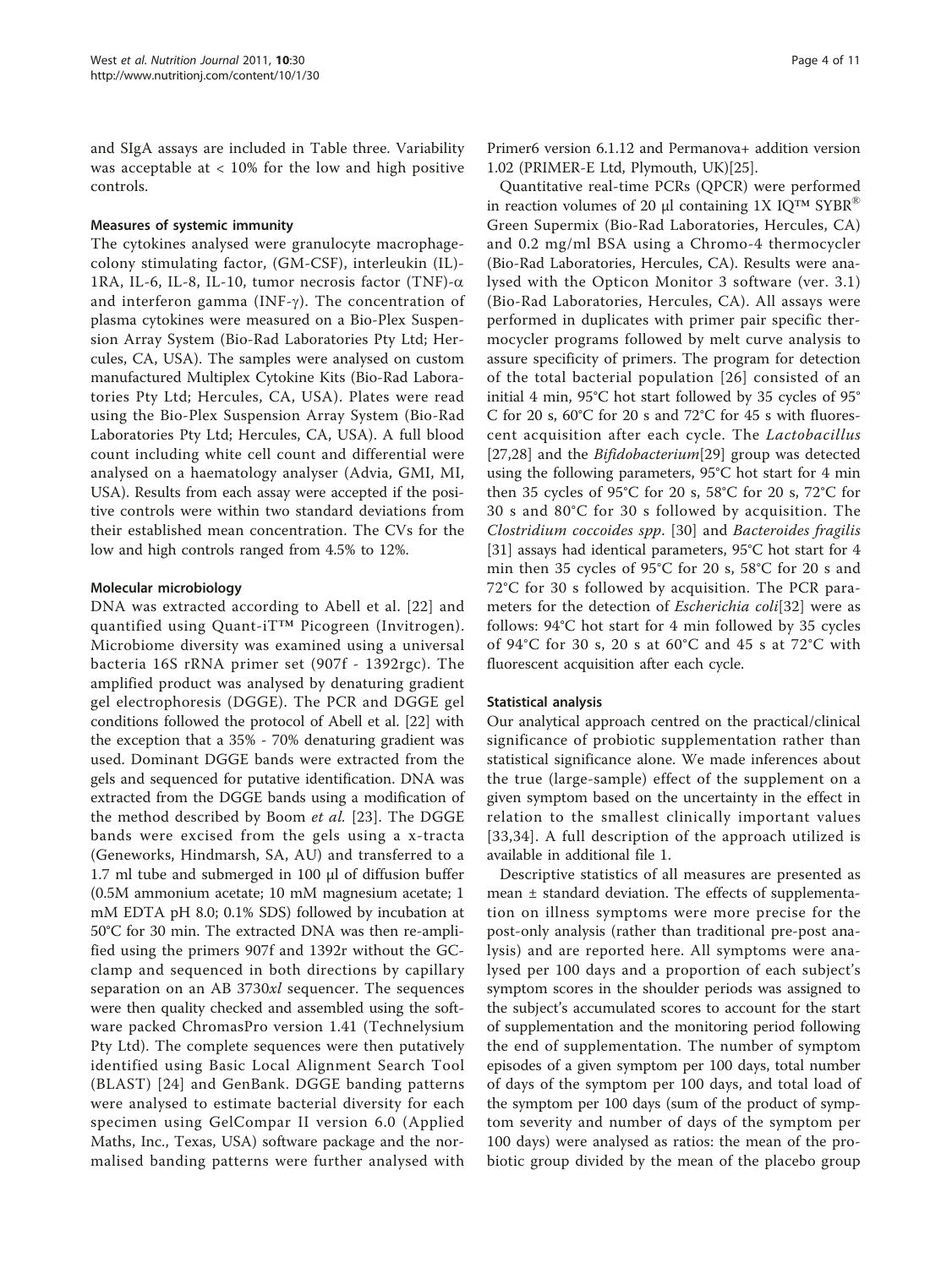and SIgA assays are included in Table three. Variability was acceptable at  $< 10\%$  for the low and high positive controls.

# Measures of systemic immunity

The cytokines analysed were granulocyte macrophagecolony stimulating factor, (GM-CSF), interleukin (IL)- 1RA, IL-6, IL-8, IL-10, tumor necrosis factor (TNF)- $\alpha$ and interferon gamma (INF- $\gamma$ ). The concentration of plasma cytokines were measured on a Bio-Plex Suspension Array System (Bio-Rad Laboratories Pty Ltd; Hercules, CA, USA). The samples were analysed on custom manufactured Multiplex Cytokine Kits (Bio-Rad Laboratories Pty Ltd; Hercules, CA, USA). Plates were read using the Bio-Plex Suspension Array System (Bio-Rad Laboratories Pty Ltd; Hercules, CA, USA). A full blood count including white cell count and differential were analysed on a haematology analyser (Advia, GMI, MI, USA). Results from each assay were accepted if the positive controls were within two standard deviations from their established mean concentration. The CVs for the low and high controls ranged from 4.5% to 12%.

# Molecular microbiology

DNA was extracted according to Abell et al. [[22](#page-10-0)] and quantified using Quant-iT™ Picogreen (Invitrogen). Microbiome diversity was examined using a universal bacteria 16S rRNA primer set (907f - 1392rgc). The amplified product was analysed by denaturing gradient gel electrophoresis (DGGE). The PCR and DGGE gel conditions followed the protocol of Abell et al. [\[22](#page-10-0)] with the exception that a 35% - 70% denaturing gradient was used. Dominant DGGE bands were extracted from the gels and sequenced for putative identification. DNA was extracted from the DGGE bands using a modification of the method described by Boom et al. [\[23\]](#page-10-0). The DGGE bands were excised from the gels using a x-tracta (Geneworks, Hindmarsh, SA, AU) and transferred to a 1.7 ml tube and submerged in 100 μl of diffusion buffer (0.5M ammonium acetate; 10 mM magnesium acetate; 1 mM EDTA pH 8.0; 0.1% SDS) followed by incubation at 50°C for 30 min. The extracted DNA was then re-amplified using the primers 907f and 1392r without the GCclamp and sequenced in both directions by capillary separation on an AB 3730xl sequencer. The sequences were then quality checked and assembled using the software packed ChromasPro version 1.41 (Technelysium Pty Ltd). The complete sequences were then putatively identified using Basic Local Alignment Search Tool (BLAST) [[24](#page-10-0)] and GenBank. DGGE banding patterns were analysed to estimate bacterial diversity for each specimen using GelCompar II version 6.0 (Applied Maths, Inc., Texas, USA) software package and the normalised banding patterns were further analysed with Primer6 version 6.1.12 and Permanova+ addition version 1.02 (PRIMER-E Ltd, Plymouth, UK)[\[25](#page-10-0)].

Quantitative real-time PCRs (QPCR) were performed in reaction volumes of 20 μl containing 1X IQ<sup>™</sup> SYBR<sup>®</sup> Green Supermix (Bio-Rad Laboratories, Hercules, CA) and 0.2 mg/ml BSA using a Chromo-4 thermocycler (Bio-Rad Laboratories, Hercules, CA). Results were analysed with the Opticon Monitor 3 software (ver. 3.1) (Bio-Rad Laboratories, Hercules, CA). All assays were performed in duplicates with primer pair specific thermocycler programs followed by melt curve analysis to assure specificity of primers. The program for detection of the total bacterial population [[26\]](#page-10-0) consisted of an initial 4 min, 95°C hot start followed by 35 cycles of 95° C for 20 s, 60°C for 20 s and 72°C for 45 s with fluorescent acquisition after each cycle. The Lactobacillus [[27,28](#page-10-0)] and the *Bifidobacterium* [[29\]](#page-10-0) group was detected using the following parameters, 95°C hot start for 4 min then 35 cycles of 95°C for 20 s, 58°C for 20 s, 72°C for 30 s and 80°C for 30 s followed by acquisition. The Clostridium coccoides spp. [[30](#page-10-0)] and Bacteroides fragilis [[31\]](#page-10-0) assays had identical parameters, 95°C hot start for 4 min then 35 cycles of 95°C for 20 s, 58°C for 20 s and 72°C for 30 s followed by acquisition. The PCR parameters for the detection of *Escherichia coli*[\[32](#page-10-0)] were as follows: 94°C hot start for 4 min followed by 35 cycles of 94°C for 30 s, 20 s at 60°C and 45 s at 72°C with fluorescent acquisition after each cycle.

# Statistical analysis

Our analytical approach centred on the practical/clinical significance of probiotic supplementation rather than statistical significance alone. We made inferences about the true (large-sample) effect of the supplement on a given symptom based on the uncertainty in the effect in relation to the smallest clinically important values [[33,34](#page-10-0)]. A full description of the approach utilized is available in additional file [1.](#page-9-0)

Descriptive statistics of all measures are presented as mean  $\pm$  standard deviation. The effects of supplementation on illness symptoms were more precise for the post-only analysis (rather than traditional pre-post analysis) and are reported here. All symptoms were analysed per 100 days and a proportion of each subject's symptom scores in the shoulder periods was assigned to the subject's accumulated scores to account for the start of supplementation and the monitoring period following the end of supplementation. The number of symptom episodes of a given symptom per 100 days, total number of days of the symptom per 100 days, and total load of the symptom per 100 days (sum of the product of symptom severity and number of days of the symptom per 100 days) were analysed as ratios: the mean of the probiotic group divided by the mean of the placebo group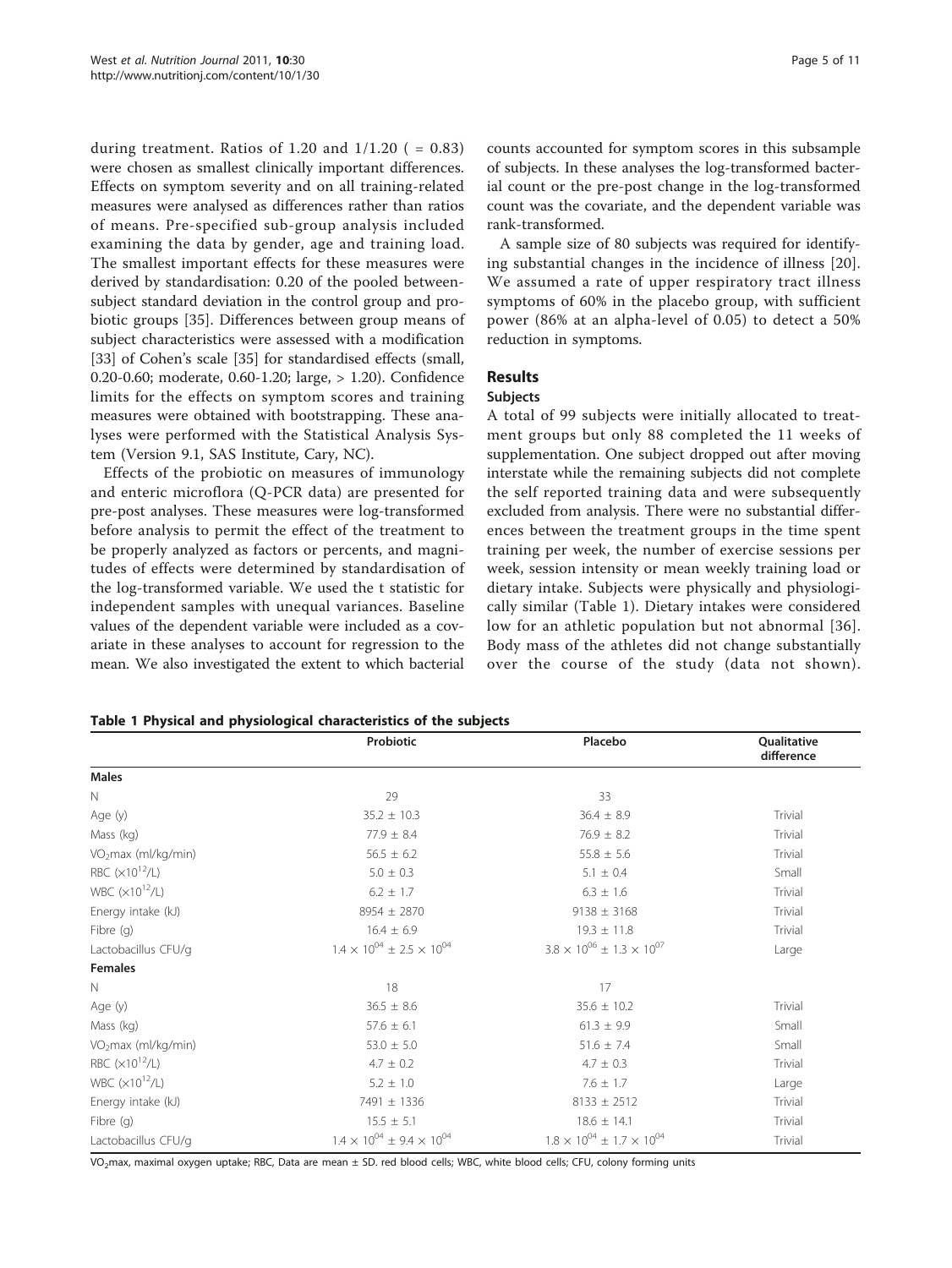during treatment. Ratios of 1.20 and  $1/1.20$  ( = 0.83) were chosen as smallest clinically important differences. Effects on symptom severity and on all training-related measures were analysed as differences rather than ratios of means. Pre-specified sub-group analysis included examining the data by gender, age and training load. The smallest important effects for these measures were derived by standardisation: 0.20 of the pooled betweensubject standard deviation in the control group and probiotic groups [\[35](#page-10-0)]. Differences between group means of subject characteristics were assessed with a modification [[33\]](#page-10-0) of Cohen's scale [\[35\]](#page-10-0) for standardised effects (small, 0.20-0.60; moderate, 0.60-1.20; large, > 1.20). Confidence limits for the effects on symptom scores and training measures were obtained with bootstrapping. These analyses were performed with the Statistical Analysis System (Version 9.1, SAS Institute, Cary, NC).

Effects of the probiotic on measures of immunology and enteric microflora (Q-PCR data) are presented for pre-post analyses. These measures were log-transformed before analysis to permit the effect of the treatment to be properly analyzed as factors or percents, and magnitudes of effects were determined by standardisation of the log-transformed variable. We used the t statistic for independent samples with unequal variances. Baseline values of the dependent variable were included as a covariate in these analyses to account for regression to the mean. We also investigated the extent to which bacterial Page 5 of 11

counts accounted for symptom scores in this subsample of subjects. In these analyses the log-transformed bacterial count or the pre-post change in the log-transformed count was the covariate, and the dependent variable was rank-transformed.

A sample size of 80 subjects was required for identifying substantial changes in the incidence of illness [[20](#page-10-0)]. We assumed a rate of upper respiratory tract illness symptoms of 60% in the placebo group, with sufficient power (86% at an alpha-level of 0.05) to detect a 50% reduction in symptoms.

# Results

# Subjects

A total of 99 subjects were initially allocated to treatment groups but only 88 completed the 11 weeks of supplementation. One subject dropped out after moving interstate while the remaining subjects did not complete the self reported training data and were subsequently excluded from analysis. There were no substantial differences between the treatment groups in the time spent training per week, the number of exercise sessions per week, session intensity or mean weekly training load or dietary intake. Subjects were physically and physiologically similar (Table 1). Dietary intakes were considered low for an athletic population but not abnormal [[36](#page-10-0)]. Body mass of the athletes did not change substantially over the course of the study (data not shown).

|                                 | Probiotic                                   | Placebo                                     | Qualitative<br>difference |
|---------------------------------|---------------------------------------------|---------------------------------------------|---------------------------|
| <b>Males</b>                    |                                             |                                             |                           |
| $\mathbb N$                     | 29                                          | 33                                          |                           |
| Age (y)                         | $35.2 \pm 10.3$                             | $36.4 \pm 8.9$                              | Trivial                   |
| Mass (kg)                       | $77.9 \pm 8.4$                              | $76.9 \pm 8.2$                              | Trivial                   |
| VO <sub>2</sub> max (ml/kg/min) | $56.5 \pm 6.2$                              | $55.8 \pm 5.6$                              | Trivial                   |
| RBC $(x10^{12}/L)$              | $5.0 \pm 0.3$                               | $5.1 \pm 0.4$                               | Small                     |
| WBC $(x10^{12}/L)$              | $6.2 \pm 1.7$                               | $6.3 \pm 1.6$                               | Trivial                   |
| Energy intake (kJ)              | 8954 ± 2870                                 | $9138 \pm 3168$                             | Trivial                   |
| Fibre (q)                       | $16.4 \pm 6.9$                              | $19.3 \pm 11.8$                             | Trivial                   |
| Lactobacillus CFU/g             | $1.4 \times 10^{04} \pm 2.5 \times 10^{04}$ | $3.8 \times 10^{06} \pm 1.3 \times 10^{07}$ | Large                     |
| <b>Females</b>                  |                                             |                                             |                           |
| $\mathbb N$                     | 18                                          | 17                                          |                           |
| Age (y)                         | $36.5 \pm 8.6$                              | $35.6 \pm 10.2$                             | Trivial                   |
| Mass (kg)                       | $57.6 \pm 6.1$                              | $61.3 \pm 9.9$                              | Small                     |
| VO <sub>2</sub> max (ml/kg/min) | $53.0 \pm 5.0$                              | $51.6 \pm 7.4$                              | Small                     |
| RBC $(x10^{12}/L)$              | $4.7 \pm 0.2$                               | $4.7 \pm 0.3$                               | Trivial                   |
| WBC $(x10^{12}/L)$              | $5.2 \pm 1.0$                               | $7.6 \pm 1.7$                               | Large                     |
| Energy intake (kJ)              | 7491 ± 1336                                 | $8133 \pm 2512$                             | Trivial                   |
| Fibre (g)                       | $15.5 \pm 5.1$                              | $18.6 \pm 14.1$                             | Trivial                   |
| Lactobacillus CFU/g             | $1.4 \times 10^{04} \pm 9.4 \times 10^{04}$ | $1.8 \times 10^{04} \pm 1.7 \times 10^{04}$ | Trivial                   |

Table 1 Physical and physiological characteristics of the subjects

VO2max, maximal oxygen uptake; RBC, Data are mean ± SD. red blood cells; WBC, white blood cells; CFU, colony forming units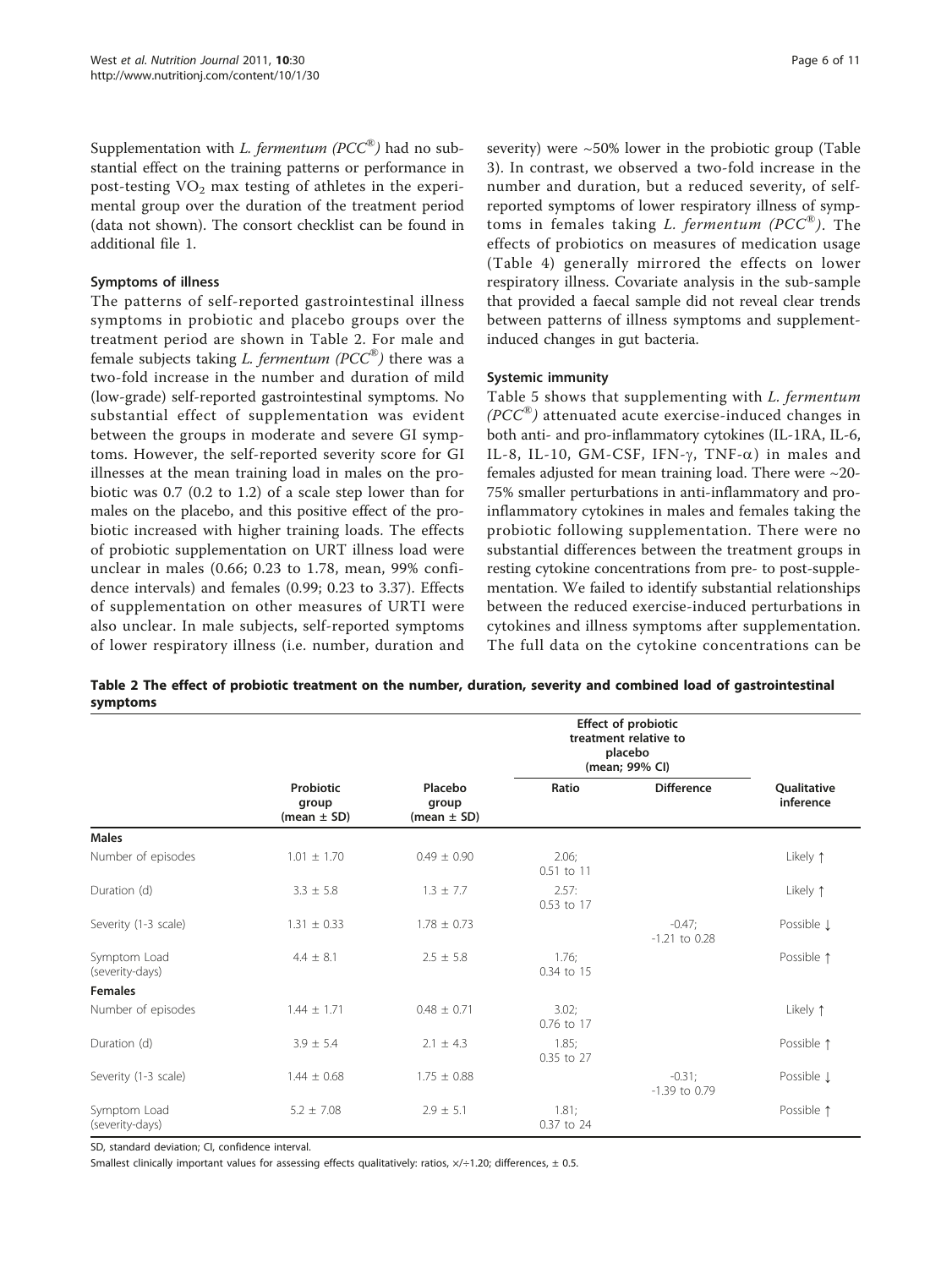Supplementation with *L. fermentum (PCC®)* had no substantial effect on the training patterns or performance in post-testing  $VO<sub>2</sub>$  max testing of athletes in the experimental group over the duration of the treatment period (data not shown). The consort checklist can be found in additional file [1.](#page-9-0)

# Symptoms of illness

The patterns of self-reported gastrointestinal illness symptoms in probiotic and placebo groups over the treatment period are shown in Table 2. For male and female subjects taking *L. fermentum* ( $PCC^{\circledR}$ ) there was a two-fold increase in the number and duration of mild (low-grade) self-reported gastrointestinal symptoms. No substantial effect of supplementation was evident between the groups in moderate and severe GI symptoms. However, the self-reported severity score for GI illnesses at the mean training load in males on the probiotic was 0.7 (0.2 to 1.2) of a scale step lower than for males on the placebo, and this positive effect of the probiotic increased with higher training loads. The effects of probiotic supplementation on URT illness load were unclear in males (0.66; 0.23 to 1.78, mean, 99% confidence intervals) and females (0.99; 0.23 to 3.37). Effects of supplementation on other measures of URTI were also unclear. In male subjects, self-reported symptoms of lower respiratory illness (i.e. number, duration and severity) were  $\sim$  50% lower in the probiotic group (Table [3\)](#page-6-0). In contrast, we observed a two-fold increase in the number and duration, but a reduced severity, of selfreported symptoms of lower respiratory illness of symptoms in females taking *L. fermentum (PCC<sup>®</sup>)*. The effects of probiotics on measures of medication usage (Table [4](#page-6-0)) generally mirrored the effects on lower respiratory illness. Covariate analysis in the sub-sample that provided a faecal sample did not reveal clear trends between patterns of illness symptoms and supplementinduced changes in gut bacteria.

# Systemic immunity

Table [5](#page-7-0) shows that supplementing with L. fermentum  $(PCC^{\circledR})$  attenuated acute exercise-induced changes in both anti- and pro-inflammatory cytokines (IL-1RA, IL-6, IL-8, IL-10, GM-CSF, IFN- $\gamma$ , TNF- $\alpha$ ) in males and females adjusted for mean training load. There were  $\sim$ 20-75% smaller perturbations in anti-inflammatory and proinflammatory cytokines in males and females taking the probiotic following supplementation. There were no substantial differences between the treatment groups in resting cytokine concentrations from pre- to post-supplementation. We failed to identify substantial relationships between the reduced exercise-induced perturbations in cytokines and illness symptoms after supplementation. The full data on the cytokine concentrations can be

Table 2 The effect of probiotic treatment on the number, duration, severity and combined load of gastrointestinal symptoms

|                                 |                                       |                                     | <b>Effect of probiotic</b><br>treatment relative to<br>placebo<br>(mean; 99% CI) |                              |                                 |  |
|---------------------------------|---------------------------------------|-------------------------------------|----------------------------------------------------------------------------------|------------------------------|---------------------------------|--|
|                                 | Probiotic<br>group<br>(mean $\pm$ SD) | Placebo<br>group<br>(mean $\pm$ SD) | Ratio                                                                            | <b>Difference</b>            | <b>Oualitative</b><br>inference |  |
| <b>Males</b>                    |                                       |                                     |                                                                                  |                              |                                 |  |
| Number of episodes              | $1.01 \pm 1.70$                       | $0.49 \pm 0.90$                     | 2.06;<br>0.51 to 11                                                              |                              | Likely 1                        |  |
| Duration (d)                    | $3.3 \pm 5.8$                         | $1.3 \pm 7.7$                       | 2.57:<br>0.53 to 17                                                              |                              | Likely 1                        |  |
| Severity (1-3 scale)            | $1.31 \pm 0.33$                       | $1.78 \pm 0.73$                     |                                                                                  | $-0.47$ :<br>$-1.21$ to 0.28 | Possible Į                      |  |
| Symptom Load<br>(severity-days) | $4.4 \pm 8.1$                         | $2.5 \pm 5.8$                       | 1.76;<br>0.34 to 15                                                              |                              | Possible 1                      |  |
| <b>Females</b>                  |                                       |                                     |                                                                                  |                              |                                 |  |
| Number of episodes              | $1.44 \pm 1.71$                       | $0.48 \pm 0.71$                     | 3.02;<br>0.76 to 17                                                              |                              | Likely 1                        |  |
| Duration (d)                    | $3.9 \pm 5.4$                         | $2.1 \pm 4.3$                       | 1.85;<br>0.35 to 27                                                              |                              | Possible 1                      |  |
| Severity (1-3 scale)            | $1.44 \pm 0.68$                       | $1.75 \pm 0.88$                     |                                                                                  | $-0.31$ ;<br>-1.39 to 0.79   | Possible J                      |  |
| Symptom Load<br>(severity-days) | $5.2 \pm 7.08$                        | $2.9 \pm 5.1$                       | 1.81;<br>0.37 to 24                                                              |                              | Possible 1                      |  |

SD, standard deviation; CI, confidence interval.

Smallest clinically important values for assessing effects qualitatively: ratios,  $\times$ /÷1.20; differences, ± 0.5.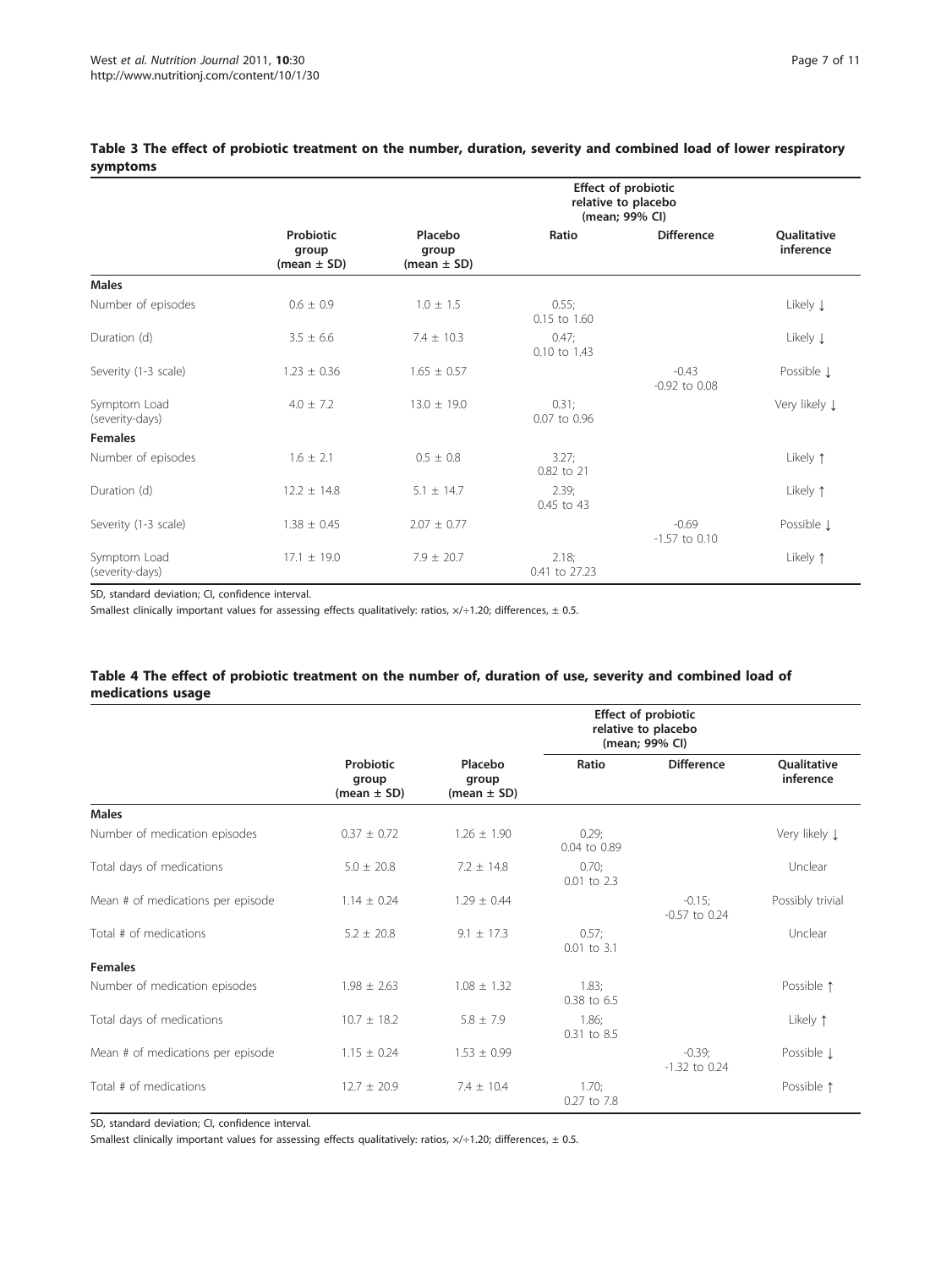|                                 | <b>Effect of probiotic</b><br>relative to placebo<br>(mean; 99% CI) |                                     |                                 |                              |                          |
|---------------------------------|---------------------------------------------------------------------|-------------------------------------|---------------------------------|------------------------------|--------------------------|
|                                 | Probiotic<br>group<br>(mean $\pm$ SD)                               | Placebo<br>group<br>$(mean \pm SD)$ | Ratio                           | <b>Difference</b>            | Qualitative<br>inference |
| <b>Males</b>                    |                                                                     |                                     |                                 |                              |                          |
| Number of episodes              | $0.6 \pm 0.9$                                                       | $1.0 \pm 1.5$                       | 0.55;<br>0.15 to 1.60           |                              | Likely $\downarrow$      |
| Duration (d)                    | $3.5 \pm 6.6$                                                       | $7.4 \pm 10.3$                      | 0.47;<br>0.10 to 1.43           |                              | Likely $\downarrow$      |
| Severity (1-3 scale)            | $1.23 \pm 0.36$                                                     | $1.65 \pm 0.57$                     |                                 | $-0.43$<br>$-0.92$ to $0.08$ | Possible J               |
| Symptom Load<br>(severity-days) | $4.0 \pm 7.2$                                                       | $13.0 \pm 19.0$                     | 0.31;<br>0.07 to 0.96           |                              | Very likely $\downarrow$ |
| <b>Females</b>                  |                                                                     |                                     |                                 |                              |                          |
| Number of episodes              | $1.6 \pm 2.1$                                                       | $0.5 \pm 0.8$                       | 3.27:<br>0.82 to 21             |                              | Likely 1                 |
| Duration (d)                    | $12.2 \pm 14.8$                                                     | $5.1 \pm 14.7$                      | 2.39 <sub>i</sub><br>0.45 to 43 |                              | Likely 1                 |
| Severity (1-3 scale)            | $1.38 \pm 0.45$                                                     | $2.07 \pm 0.77$                     |                                 | $-0.69$<br>$-1.57$ to 0.10   | Possible J               |
| Symptom Load<br>(severity-days) | $17.1 \pm 19.0$                                                     | $7.9 \pm 20.7$                      | 2.18;<br>0.41 to 27.23          |                              | Likely 1                 |

# <span id="page-6-0"></span>Table 3 The effect of probiotic treatment on the number, duration, severity and combined load of lower respiratory symptoms

SD, standard deviation; CI, confidence interval.

Smallest clinically important values for assessing effects qualitatively: ratios,  $\times$ /÷1.20; differences, ± 0.5.

# Table 4 The effect of probiotic treatment on the number of, duration of use, severity and combined load of medications usage

|                                   |                                       |                                     |                          | <b>Effect of probiotic</b><br>relative to placebo<br>(mean; 99% CI) |                                 |
|-----------------------------------|---------------------------------------|-------------------------------------|--------------------------|---------------------------------------------------------------------|---------------------------------|
|                                   | Probiotic<br>group<br>(mean $\pm$ SD) | Placebo<br>group<br>(mean $\pm$ SD) | Ratio                    | <b>Difference</b>                                                   | <b>Oualitative</b><br>inference |
| <b>Males</b>                      |                                       |                                     |                          |                                                                     |                                 |
| Number of medication episodes     | $0.37 \pm 0.72$                       | $1.26 \pm 1.90$                     | 0.29;<br>0.04 to 0.89    |                                                                     | Very likely $\downarrow$        |
| Total days of medications         | $5.0 \pm 20.8$                        | $7.2 \pm 14.8$                      | 0.70;<br>$0.01$ to 2.3   |                                                                     | Unclear                         |
| Mean # of medications per episode | $1.14 \pm 0.24$                       | $1.29 \pm 0.44$                     |                          | $-0.15$ ;<br>$-0.57$ to 0.24                                        | Possibly trivial                |
| Total # of medications            | $5.2 \pm 20.8$                        | $9.1 \pm 17.3$                      | 0.57;<br>$0.01$ to $3.1$ |                                                                     | Unclear                         |
| <b>Females</b>                    |                                       |                                     |                          |                                                                     |                                 |
| Number of medication episodes     | $1.98 \pm 2.63$                       | $1.08 \pm 1.32$                     | 1.83:<br>0.38 to 6.5     |                                                                     | Possible 1                      |
| Total days of medications         | $10.7 \pm 18.2$                       | $5.8 \pm 7.9$                       | 1.86;<br>0.31 to 8.5     |                                                                     | Likely 1                        |
| Mean # of medications per episode | $1.15 \pm 0.24$                       | $1.53 \pm 0.99$                     |                          | $-0.39;$<br>$-1.32$ to 0.24                                         | Possible 1                      |
| Total # of medications            | $12.7 \pm 20.9$                       | $7.4 \pm 10.4$                      | 1.70;<br>0.27 to 7.8     |                                                                     | Possible 1                      |

SD, standard deviation; CI, confidence interval.

Smallest clinically important values for assessing effects qualitatively: ratios,  $\times/ \div 1.20$ ; differences,  $\pm$  0.5.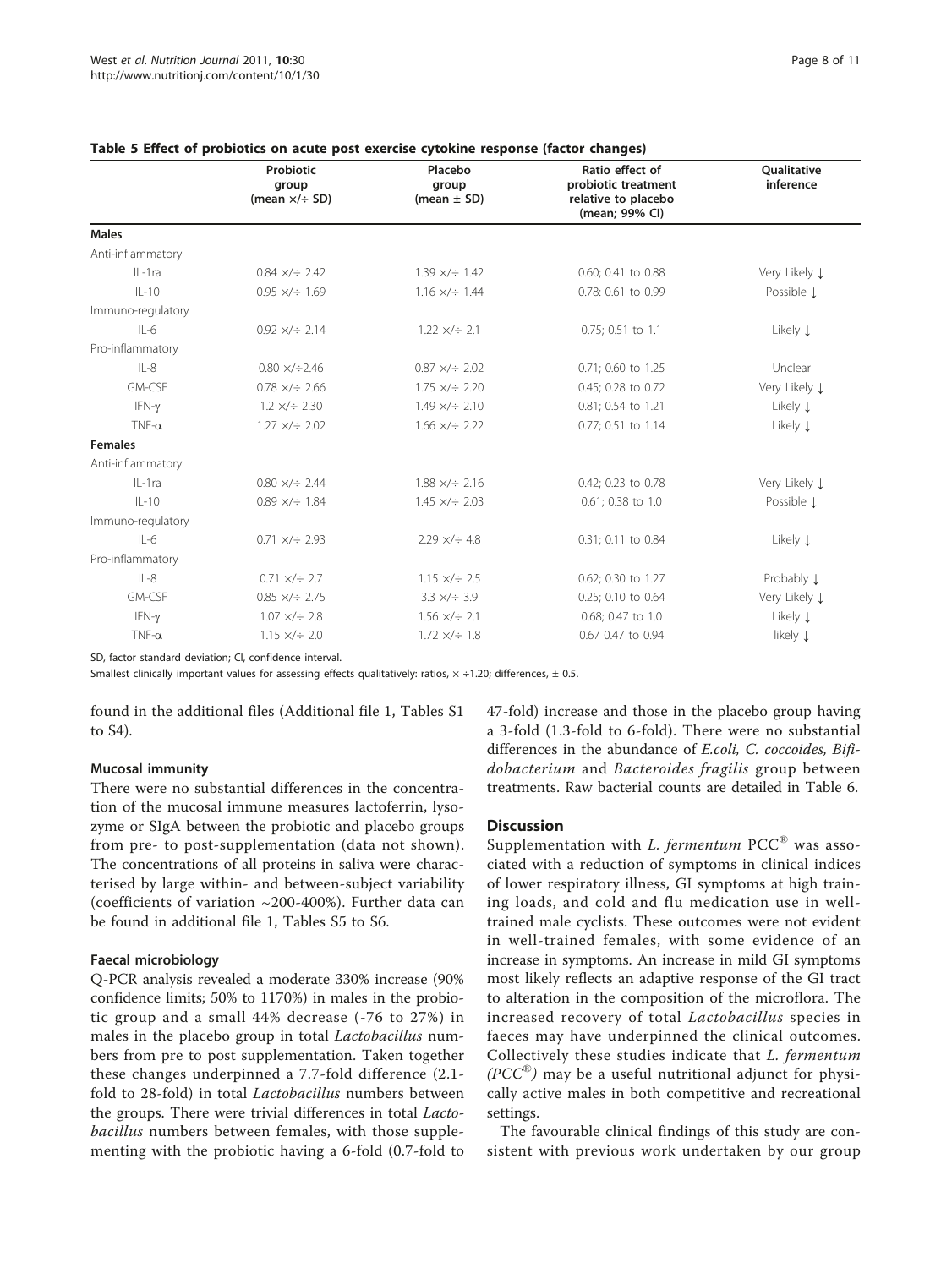|                   | Probiotic<br>group<br>(mean $x/\div$ SD) | Placebo<br>group<br>(mean $\pm$ SD) | Ratio effect of<br>probiotic treatment<br>relative to placebo<br>(mean; 99% CI) | Qualitative<br>inference |
|-------------------|------------------------------------------|-------------------------------------|---------------------------------------------------------------------------------|--------------------------|
| <b>Males</b>      |                                          |                                     |                                                                                 |                          |
| Anti-inflammatory |                                          |                                     |                                                                                 |                          |
| $IL-1ra$          | $0.84 \times 7 \div 2.42$                | $1.39 \times 7 \div 1.42$           | 0.60; 0.41 to 0.88                                                              | Very Likely J            |
| $II - 10$         | $0.95 \times 1.69$                       | $1.16 \times 7 \div 1.44$           | 0.78: 0.61 to 0.99                                                              | Possible 1               |
| Immuno-regulatory |                                          |                                     |                                                                                 |                          |
| $IL-6$            | $0.92 \times 7 \div 2.14$                | $1.22 \times 7 \div 2.1$            | 0.75; 0.51 to 1.1                                                               | Likely $\downarrow$      |
| Pro-inflammatory  |                                          |                                     |                                                                                 |                          |
| $IL-8$            | $0.80 \times 2.46$                       | $0.87 \times 4$ 2.02                | 0.71; 0.60 to 1.25                                                              | Unclear                  |
| GM-CSF            | $0.78 \times 4$ 2.66                     | $1.75 \times 3.20$                  | 0.45; 0.28 to 0.72                                                              | Very Likely J            |
| $IFN-\gamma$      | $1.2 \times 7 \div 2.30$                 | $1.49 \times 7 \div 2.10$           | 0.81; 0.54 to 1.21                                                              | Likely 1                 |
| $TNF-\alpha$      | $1.27 \times 7 \div 2.02$                | $1.66 \times 7 \div 2.22$           | 0.77; 0.51 to 1.14                                                              | Likely $\downarrow$      |
| <b>Females</b>    |                                          |                                     |                                                                                 |                          |
| Anti-inflammatory |                                          |                                     |                                                                                 |                          |
| $II - 1ra$        | $0.80 \times 4$ 2.44                     | $1.88 \times 7 \div 2.16$           | 0.42; 0.23 to 0.78                                                              | Very Likely 1            |
| $II - 10$         | $0.89 \times 4 : 1.84$                   | $1.45 \times 2.03$                  | 0.61; 0.38 to 1.0                                                               | Possible 1               |
| Immuno-regulatory |                                          |                                     |                                                                                 |                          |
| $IL-6$            | $0.71 \times 4$ 2.93                     | $2.29 \times 4.8$                   | 0.31; 0.11 to 0.84                                                              | Likely $\downarrow$      |
| Pro-inflammatory  |                                          |                                     |                                                                                 |                          |
| $IL-8$            | $0.71 \times 4 = 2.7$                    | $1.15 \times 7 \div 2.5$            | 0.62; 0.30 to 1.27                                                              | Probably 1               |
| GM-CSF            | $0.85 \times 4$ 2.75                     | $3.3 \times 3.9$                    | 0.25; 0.10 to 0.64                                                              | Very Likely J            |
| IFN- $\gamma$     | $1.07 \times 7 \div 2.8$                 | $1.56 \times 7 \div 2.1$            | 0.68; 0.47 to 1.0                                                               | Likely 1                 |
| TNF- $\alpha$     | $1.15 \times 7 \div 2.0$                 | $1.72 \times 1.8$                   | 0.67 0.47 to 0.94                                                               | likely Į                 |

<span id="page-7-0"></span>

| Table 5 Effect of probiotics on acute post exercise cytokine response (factor changes) |  |  |  |  |  |
|----------------------------------------------------------------------------------------|--|--|--|--|--|
|----------------------------------------------------------------------------------------|--|--|--|--|--|

SD, factor standard deviation; CI, confidence interval.

Smallest clinically important values for assessing effects qualitatively: ratios,  $\times$  ÷1.20; differences,  $\pm$  0.5.

found in the additional files (Additional file [1](#page-9-0), Tables S1 to S4).

# Mucosal immunity

There were no substantial differences in the concentration of the mucosal immune measures lactoferrin, lysozyme or SIgA between the probiotic and placebo groups from pre- to post-supplementation (data not shown). The concentrations of all proteins in saliva were characterised by large within- and between-subject variability (coefficients of variation ~200-400%). Further data can be found in additional file [1,](#page-9-0) Tables S5 to S6.

# Faecal microbiology

Q-PCR analysis revealed a moderate 330% increase (90% confidence limits; 50% to 1170%) in males in the probiotic group and a small 44% decrease (-76 to 27%) in males in the placebo group in total Lactobacillus numbers from pre to post supplementation. Taken together these changes underpinned a 7.7-fold difference (2.1 fold to 28-fold) in total Lactobacillus numbers between the groups. There were trivial differences in total Lactobacillus numbers between females, with those supplementing with the probiotic having a 6-fold (0.7-fold to 47-fold) increase and those in the placebo group having a 3-fold (1.3-fold to 6-fold). There were no substantial differences in the abundance of E.coli, C. coccoides, Bifidobacterium and Bacteroides fragilis group between treatments. Raw bacterial counts are detailed in Table [6.](#page-8-0)

# **Discussion**

Supplementation with  $L$ . fermentum PCC<sup>®</sup> was associated with a reduction of symptoms in clinical indices of lower respiratory illness, GI symptoms at high training loads, and cold and flu medication use in welltrained male cyclists. These outcomes were not evident in well-trained females, with some evidence of an increase in symptoms. An increase in mild GI symptoms most likely reflects an adaptive response of the GI tract to alteration in the composition of the microflora. The increased recovery of total Lactobacillus species in faeces may have underpinned the clinical outcomes. Collectively these studies indicate that L. fermentum  $(PCC^{\circledR})$  may be a useful nutritional adjunct for physically active males in both competitive and recreational settings.

The favourable clinical findings of this study are consistent with previous work undertaken by our group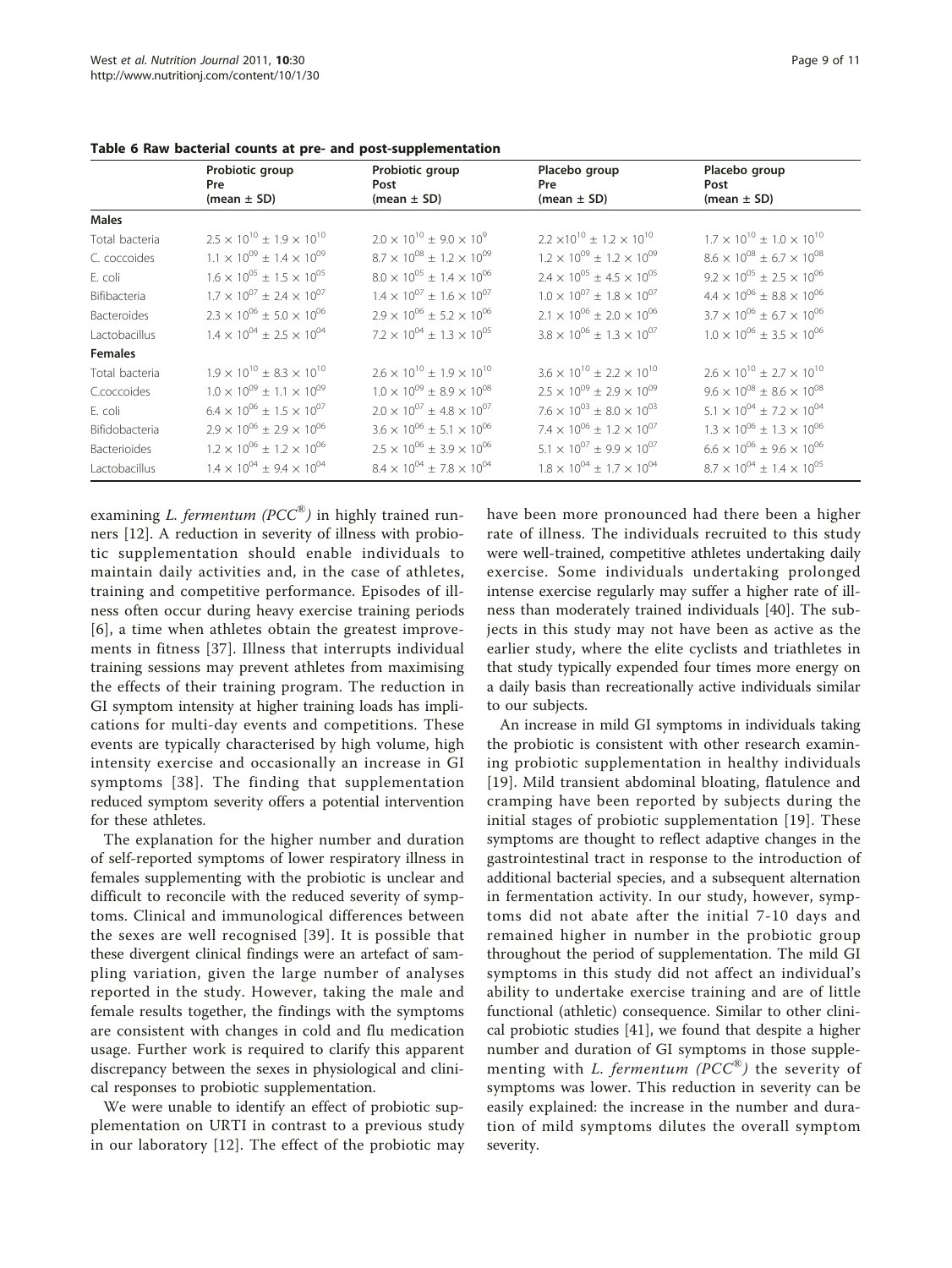|                     | Probiotic group<br>Pre<br>$(mean \pm SD)$   | Probiotic group<br>Post<br>(mean ± SD)      | Placebo group<br>Pre<br>$(mean \pm SD)$     | Placebo group<br>Post<br>$(mean \pm SD)$    |
|---------------------|---------------------------------------------|---------------------------------------------|---------------------------------------------|---------------------------------------------|
| <b>Males</b>        |                                             |                                             |                                             |                                             |
| Total bacteria      | $2.5 \times 10^{10} \pm 1.9 \times 10^{10}$ | $2.0 \times 10^{10} + 9.0 \times 10^{9}$    | $22 \times 10^{10} + 12 \times 10^{10}$     | $1.7 \times 10^{10} \pm 1.0 \times 10^{10}$ |
| C. coccoides        | $1.1 \times 10^{09} \pm 1.4 \times 10^{09}$ | $8.7 \times 10^{08} + 1.2 \times 10^{09}$   | $1.2 \times 10^{09} + 1.2 \times 10^{09}$   | $8.6 \times 10^{08} + 6.7 \times 10^{08}$   |
| E. coli             | $1.6 \times 10^{05} \pm 1.5 \times 10^{05}$ | $8.0 \times 10^{05} + 1.4 \times 10^{06}$   | $2.4 \times 10^{05} + 4.5 \times 10^{05}$   | $9.2 \times 10^{05} + 2.5 \times 10^{06}$   |
| <b>Bifibacteria</b> | $1.7 \times 10^{07} + 2.4 \times 10^{07}$   | $1.4 \times 10^{07} + 1.6 \times 10^{07}$   | $1.0 \times 10^{07} + 1.8 \times 10^{07}$   | $4.4 \times 10^{06} + 8.8 \times 10^{06}$   |
| Bacteroides         | $2.3 \times 10^{06} \pm 5.0 \times 10^{06}$ | $2.9 \times 10^{06} + 5.2 \times 10^{06}$   | $2.1 \times 10^{06} + 2.0 \times 10^{06}$   | $3.7 \times 10^{06} + 6.7 \times 10^{06}$   |
| Lactobacillus       | $1.4 \times 10^{04} \pm 2.5 \times 10^{04}$ | $72 \times 10^{04} + 13 \times 10^{05}$     | $3.8 \times 10^{06} + 1.3 \times 10^{07}$   | $1.0 \times 10^{06} + 3.5 \times 10^{06}$   |
| <b>Females</b>      |                                             |                                             |                                             |                                             |
| Total bacteria      | $1.9 \times 10^{10} + 8.3 \times 10^{10}$   | $2.6 \times 10^{10} \pm 1.9 \times 10^{10}$ | $3.6 \times 10^{10} \pm 2.2 \times 10^{10}$ | $2.6 \times 10^{10} \pm 2.7 \times 10^{10}$ |
| C.coccoides         | $1.0 \times 10^{09} + 1.1 \times 10^{09}$   | $1.0 \times 10^{09} + 8.9 \times 10^{08}$   | $2.5 \times 10^{09} + 2.9 \times 10^{09}$   | $9.6 \times 10^{08} + 8.6 \times 10^{08}$   |
| E. coli             | $6.4 \times 10^{06} \pm 1.5 \times 10^{07}$ | $2.0 \times 10^{07} + 4.8 \times 10^{07}$   | $7.6 \times 10^{03} + 8.0 \times 10^{03}$   | $5.1 \times 10^{04} \pm 7.2 \times 10^{04}$ |
| Bifidobacteria      | $2.9 \times 10^{06} \pm 2.9 \times 10^{06}$ | $3.6 \times 10^{06} + 5.1 \times 10^{06}$   | $7.4 \times 10^{06} \pm 1.2 \times 10^{07}$ | $1.3 \times 10^{06} \pm 1.3 \times 10^{06}$ |
| Bacterioides        | $1.2 \times 10^{06} \pm 1.2 \times 10^{06}$ | $2.5 \times 10^{06} \pm 3.9 \times 10^{06}$ | $5.1 \times 10^{07} \pm 9.9 \times 10^{07}$ | $6.6 \times 10^{06} \pm 9.6 \times 10^{06}$ |
| Lactobacillus       | $1.4 \times 10^{04} + 9.4 \times 10^{04}$   | $8.4 \times 10^{04} + 7.8 \times 10^{04}$   | $1.8 \times 10^{04} \pm 1.7 \times 10^{04}$ | $8.7 \times 10^{04} + 1.4 \times 10^{05}$   |

<span id="page-8-0"></span>Table 6 Raw bacterial counts at pre- and post-supplementation

examining L. fermentum ( $PCC^{\circledR}$ ) in highly trained runners [[12\]](#page-10-0). A reduction in severity of illness with probiotic supplementation should enable individuals to maintain daily activities and, in the case of athletes, training and competitive performance. Episodes of illness often occur during heavy exercise training periods [[6](#page-10-0)], a time when athletes obtain the greatest improvements in fitness [[37](#page-10-0)]. Illness that interrupts individual training sessions may prevent athletes from maximising the effects of their training program. The reduction in GI symptom intensity at higher training loads has implications for multi-day events and competitions. These events are typically characterised by high volume, high intensity exercise and occasionally an increase in GI symptoms [[38\]](#page-10-0). The finding that supplementation reduced symptom severity offers a potential intervention for these athletes.

The explanation for the higher number and duration of self-reported symptoms of lower respiratory illness in females supplementing with the probiotic is unclear and difficult to reconcile with the reduced severity of symptoms. Clinical and immunological differences between the sexes are well recognised [[39\]](#page-10-0). It is possible that these divergent clinical findings were an artefact of sampling variation, given the large number of analyses reported in the study. However, taking the male and female results together, the findings with the symptoms are consistent with changes in cold and flu medication usage. Further work is required to clarify this apparent discrepancy between the sexes in physiological and clinical responses to probiotic supplementation.

We were unable to identify an effect of probiotic supplementation on URTI in contrast to a previous study in our laboratory [[12\]](#page-10-0). The effect of the probiotic may have been more pronounced had there been a higher rate of illness. The individuals recruited to this study were well-trained, competitive athletes undertaking daily exercise. Some individuals undertaking prolonged intense exercise regularly may suffer a higher rate of illness than moderately trained individuals [[40\]](#page-10-0). The subjects in this study may not have been as active as the earlier study, where the elite cyclists and triathletes in that study typically expended four times more energy on a daily basis than recreationally active individuals similar to our subjects.

An increase in mild GI symptoms in individuals taking the probiotic is consistent with other research examining probiotic supplementation in healthy individuals [[19](#page-10-0)]. Mild transient abdominal bloating, flatulence and cramping have been reported by subjects during the initial stages of probiotic supplementation [[19](#page-10-0)]. These symptoms are thought to reflect adaptive changes in the gastrointestinal tract in response to the introduction of additional bacterial species, and a subsequent alternation in fermentation activity. In our study, however, symptoms did not abate after the initial 7-10 days and remained higher in number in the probiotic group throughout the period of supplementation. The mild GI symptoms in this study did not affect an individual's ability to undertake exercise training and are of little functional (athletic) consequence. Similar to other clinical probiotic studies [[41\]](#page-10-0), we found that despite a higher number and duration of GI symptoms in those supplementing with L. fermentum ( $PCC^{\circledR}$ ) the severity of symptoms was lower. This reduction in severity can be easily explained: the increase in the number and duration of mild symptoms dilutes the overall symptom severity.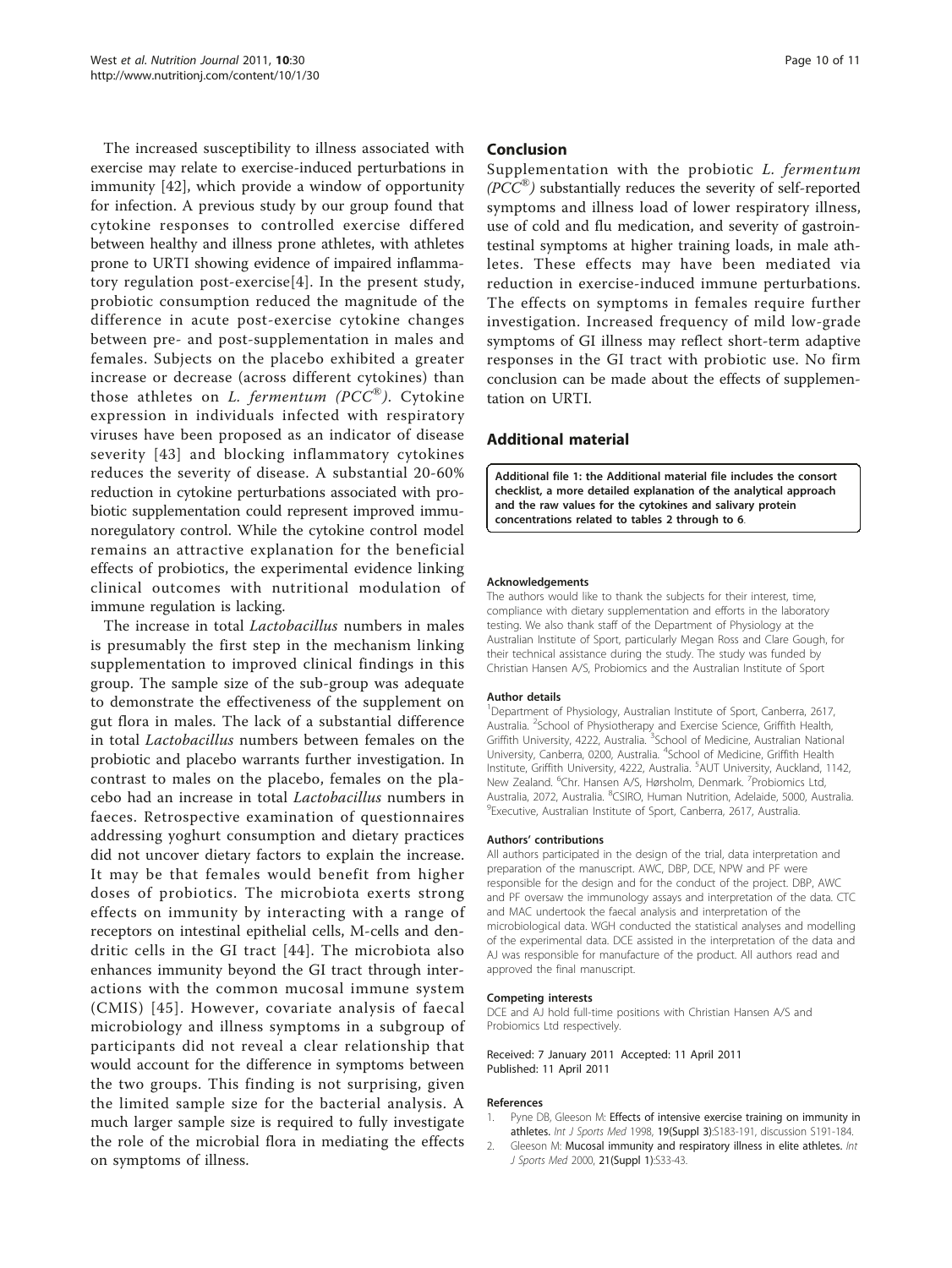<span id="page-9-0"></span>The increased susceptibility to illness associated with exercise may relate to exercise-induced perturbations in immunity [[42\]](#page-10-0), which provide a window of opportunity for infection. A previous study by our group found that cytokine responses to controlled exercise differed between healthy and illness prone athletes, with athletes prone to URTI showing evidence of impaired inflammatory regulation post-exercise[[4](#page-10-0)]. In the present study, probiotic consumption reduced the magnitude of the difference in acute post-exercise cytokine changes between pre- and post-supplementation in males and females. Subjects on the placebo exhibited a greater increase or decrease (across different cytokines) than those athletes on L. fermentum ( $PCC^{\mathcal{B}}$ ). Cytokine expression in individuals infected with respiratory viruses have been proposed as an indicator of disease severity [[43](#page-10-0)] and blocking inflammatory cytokines reduces the severity of disease. A substantial 20-60% reduction in cytokine perturbations associated with probiotic supplementation could represent improved immunoregulatory control. While the cytokine control model remains an attractive explanation for the beneficial effects of probiotics, the experimental evidence linking clinical outcomes with nutritional modulation of immune regulation is lacking.

The increase in total Lactobacillus numbers in males is presumably the first step in the mechanism linking supplementation to improved clinical findings in this group. The sample size of the sub-group was adequate to demonstrate the effectiveness of the supplement on gut flora in males. The lack of a substantial difference in total Lactobacillus numbers between females on the probiotic and placebo warrants further investigation. In contrast to males on the placebo, females on the placebo had an increase in total Lactobacillus numbers in faeces. Retrospective examination of questionnaires addressing yoghurt consumption and dietary practices did not uncover dietary factors to explain the increase. It may be that females would benefit from higher doses of probiotics. The microbiota exerts strong effects on immunity by interacting with a range of receptors on intestinal epithelial cells, M-cells and dendritic cells in the GI tract [[44](#page-10-0)]. The microbiota also enhances immunity beyond the GI tract through interactions with the common mucosal immune system (CMIS) [[45\]](#page-10-0). However, covariate analysis of faecal microbiology and illness symptoms in a subgroup of participants did not reveal a clear relationship that would account for the difference in symptoms between the two groups. This finding is not surprising, given the limited sample size for the bacterial analysis. A much larger sample size is required to fully investigate the role of the microbial flora in mediating the effects on symptoms of illness.

# Conclusion

Supplementation with the probiotic L. fermentum  $(PCC^{\circledR})$  substantially reduces the severity of self-reported symptoms and illness load of lower respiratory illness, use of cold and flu medication, and severity of gastrointestinal symptoms at higher training loads, in male athletes. These effects may have been mediated via reduction in exercise-induced immune perturbations. The effects on symptoms in females require further investigation. Increased frequency of mild low-grade symptoms of GI illness may reflect short-term adaptive responses in the GI tract with probiotic use. No firm conclusion can be made about the effects of supplementation on URTI.

# Additional material

[Additional file 1: t](http://www.biomedcentral.com/content/supplementary/1475-2891-10-30-S1.DOC)he Additional material file includes the consort checklist, a more detailed explanation of the analytical approach and the raw values for the cytokines and salivary protein concentrations related to tables 2 through to 6.

#### Acknowledgements

The authors would like to thank the subjects for their interest, time, compliance with dietary supplementation and efforts in the laboratory testing. We also thank staff of the Department of Physiology at the Australian Institute of Sport, particularly Megan Ross and Clare Gough, for their technical assistance during the study. The study was funded by Christian Hansen A/S, Probiomics and the Australian Institute of Sport

#### Author details

<sup>1</sup>Department of Physiology, Australian Institute of Sport, Canberra, 2617 Australia. <sup>2</sup>School of Physiotherapy and Exercise Science, Griffith Health, Griffith University, 4222, Australia.<sup>3</sup>School of Medicine, Australian National University, Canberra, 0200, Australia. <sup>4</sup>School of Medicine, Griffith Health Institute, Griffith University, 4222, Australia. <sup>5</sup>AUT University, Auckland, 1142, New Zealand. <sup>6</sup>Chr. Hansen A/S, Hørsholm, Denmark. <sup>7</sup>Probiomics Ltd Australia, 2072, Australia. <sup>8</sup>CSIRO, Human Nutrition, Adelaide, 5000, Australia<br><sup>9</sup>Executive, Australian Institute of Sport, Capberra, 2617, Australia <sup>9</sup> Executive, Australian Institute of Sport, Canberra, 2617, Australia.

#### Authors' contributions

All authors participated in the design of the trial, data interpretation and preparation of the manuscript. AWC, DBP, DCE, NPW and PF were responsible for the design and for the conduct of the project. DBP, AWC and PF oversaw the immunology assays and interpretation of the data. CTC and MAC undertook the faecal analysis and interpretation of the microbiological data. WGH conducted the statistical analyses and modelling of the experimental data. DCE assisted in the interpretation of the data and AJ was responsible for manufacture of the product. All authors read and approved the final manuscript.

#### Competing interests

DCE and AJ hold full-time positions with Christian Hansen A/S and Probiomics Ltd respectively.

#### Received: 7 January 2011 Accepted: 11 April 2011 Published: 11 April 2011

#### References

- 1. Pyne DB, Gleeson M: [Effects of intensive exercise training on immunity in](http://www.ncbi.nlm.nih.gov/pubmed/9722284?dopt=Abstract) [athletes.](http://www.ncbi.nlm.nih.gov/pubmed/9722284?dopt=Abstract) Int J Sports Med 1998, 19(Suppl 3):S183-191, discussion S191-184.
- 2. Gleeson M: [Mucosal immunity and respiratory illness in elite athletes.](http://www.ncbi.nlm.nih.gov/pubmed/10893023?dopt=Abstract) Int J Sports Med 2000, 21(Suppl 1):S33-43.